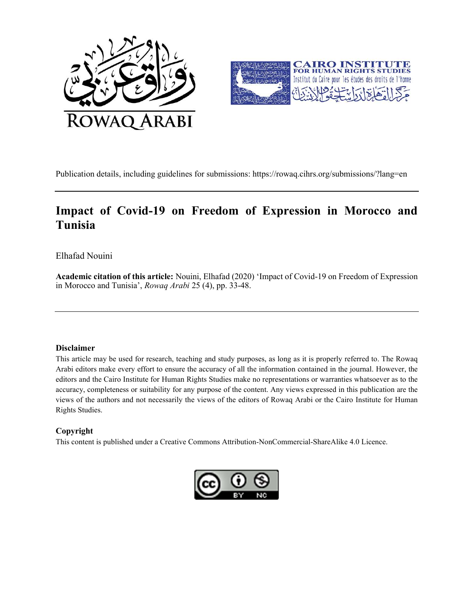



Publication details, including guidelines for submissions: https://rowaq.cihrs.org/submissions/?lang=en

# Impact of Covid-19 on Freedom of Expression in Morocco and Tunisia

## Elhafad Nouini

Academic citation of this article: Nouini, Elhafad (2020) 'Impact of Covid-19 on Freedom of Expression in Morocco and Tunisia', Rowaq Arabi 25 (4), pp. 33-48.

#### Disclaimer

This article may be used for research, teaching and study purposes, as long as it is properly referred to. The Rowaq Arabi editors make every effort to ensure the accuracy of all the information contained in the journal. However, the editors and the Cairo Institute for Human Rights Studies make no representations or warranties whatsoever as to the accuracy, completeness or suitability for any purpose of the content. Any views expressed in this publication are the views of the authors and not necessarily the views of the editors of Rowaq Arabi or the Cairo Institute for Human Rights Studies.

## Copyright

This content is published under a Creative Commons Attribution-NonCommercial-ShareAlike 4.0 Licence.

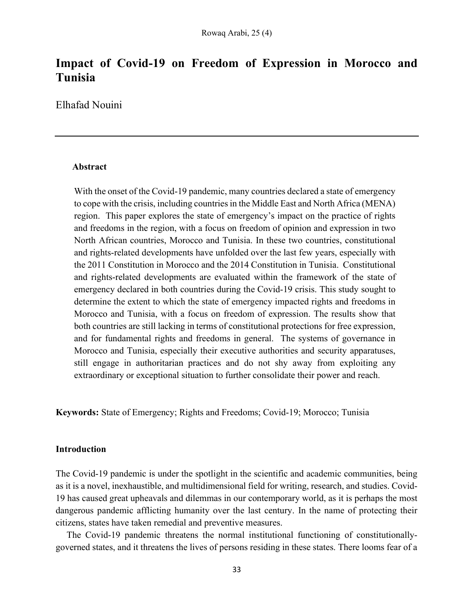## Impact of Covid-19 on Freedom of Expression in Morocco and Tunisia

Elhafad Nouini

## Abstract

With the onset of the Covid-19 pandemic, many countries declared a state of emergency to cope with the crisis, including countries in the Middle East and North Africa (MENA) region. This paper explores the state of emergency's impact on the practice of rights and freedoms in the region, with a focus on freedom of opinion and expression in two North African countries, Morocco and Tunisia. In these two countries, constitutional and rights-related developments have unfolded over the last few years, especially with the 2011 Constitution in Morocco and the 2014 Constitution in Tunisia. Constitutional and rights-related developments are evaluated within the framework of the state of emergency declared in both countries during the Covid-19 crisis. This study sought to determine the extent to which the state of emergency impacted rights and freedoms in Morocco and Tunisia, with a focus on freedom of expression. The results show that both countries are still lacking in terms of constitutional protections for free expression, and for fundamental rights and freedoms in general. The systems of governance in Morocco and Tunisia, especially their executive authorities and security apparatuses, still engage in authoritarian practices and do not shy away from exploiting any extraordinary or exceptional situation to further consolidate their power and reach.

Keywords: State of Emergency; Rights and Freedoms; Covid-19; Morocco; Tunisia

#### Introduction

The Covid-19 pandemic is under the spotlight in the scientific and academic communities, being as it is a novel, inexhaustible, and multidimensional field for writing, research, and studies. Covid-19 has caused great upheavals and dilemmas in our contemporary world, as it is perhaps the most dangerous pandemic afflicting humanity over the last century. In the name of protecting their citizens, states have taken remedial and preventive measures.

The Covid-19 pandemic threatens the normal institutional functioning of constitutionallygoverned states, and it threatens the lives of persons residing in these states. There looms fear of a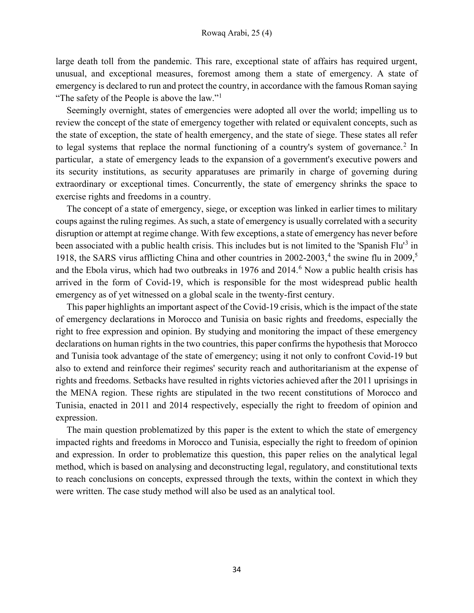large death toll from the pandemic. This rare, exceptional state of affairs has required urgent, unusual, and exceptional measures, foremost among them a state of emergency. A state of emergency is declared to run and protect the country, in accordance with the famous Roman saying "The safety of the People is above the law."<sup>1</sup>

Seemingly overnight, states of emergencies were adopted all over the world; impelling us to review the concept of the state of emergency together with related or equivalent concepts, such as the state of exception, the state of health emergency, and the state of siege. These states all refer to legal systems that replace the normal functioning of a country's system of governance.<sup>2</sup> In particular, a state of emergency leads to the expansion of a government's executive powers and its security institutions, as security apparatuses are primarily in charge of governing during extraordinary or exceptional times. Concurrently, the state of emergency shrinks the space to exercise rights and freedoms in a country.

The concept of a state of emergency, siege, or exception was linked in earlier times to military coups against the ruling regimes. As such, a state of emergency is usually correlated with a security disruption or attempt at regime change. With few exceptions, a state of emergency has never before been associated with a public health crisis. This includes but is not limited to the 'Spanish Flu<sup>13</sup> in 1918, the SARS virus afflicting China and other countries in  $2002-2003$ ,<sup>4</sup> the swine flu in  $2009$ ,<sup>5</sup> and the Ebola virus, which had two outbreaks in  $1976$  and  $2014<sup>6</sup>$  Now a public health crisis has arrived in the form of Covid-19, which is responsible for the most widespread public health emergency as of yet witnessed on a global scale in the twenty-first century.

This paper highlights an important aspect of the Covid-19 crisis, which is the impact of the state of emergency declarations in Morocco and Tunisia on basic rights and freedoms, especially the right to free expression and opinion. By studying and monitoring the impact of these emergency declarations on human rights in the two countries, this paper confirms the hypothesis that Morocco and Tunisia took advantage of the state of emergency; using it not only to confront Covid-19 but also to extend and reinforce their regimes' security reach and authoritarianism at the expense of rights and freedoms. Setbacks have resulted in rights victories achieved after the 2011 uprisings in the MENA region. These rights are stipulated in the two recent constitutions of Morocco and Tunisia, enacted in 2011 and 2014 respectively, especially the right to freedom of opinion and expression.

The main question problematized by this paper is the extent to which the state of emergency impacted rights and freedoms in Morocco and Tunisia, especially the right to freedom of opinion and expression. In order to problematize this question, this paper relies on the analytical legal method, which is based on analysing and deconstructing legal, regulatory, and constitutional texts to reach conclusions on concepts, expressed through the texts, within the context in which they were written. The case study method will also be used as an analytical tool.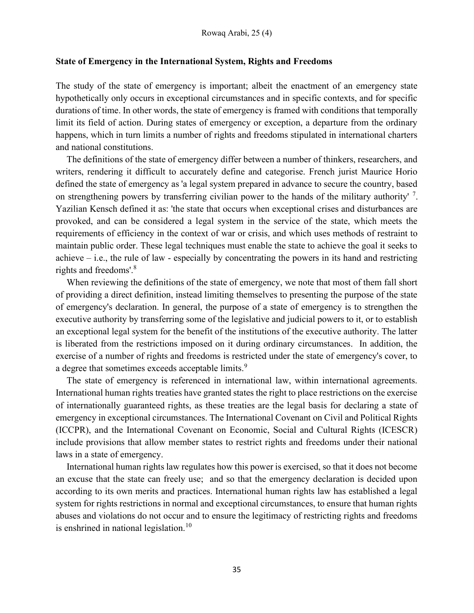## State of Emergency in the International System, Rights and Freedoms

The study of the state of emergency is important; albeit the enactment of an emergency state hypothetically only occurs in exceptional circumstances and in specific contexts, and for specific durations of time. In other words, the state of emergency is framed with conditions that temporally limit its field of action. During states of emergency or exception, a departure from the ordinary happens, which in turn limits a number of rights and freedoms stipulated in international charters and national constitutions.

The definitions of the state of emergency differ between a number of thinkers, researchers, and writers, rendering it difficult to accurately define and categorise. French jurist Maurice Horio defined the state of emergency as 'a legal system prepared in advance to secure the country, based on strengthening powers by transferring civilian power to the hands of the military authority'<sup>7</sup>. Yazilian Kensch defined it as: 'the state that occurs when exceptional crises and disturbances are provoked, and can be considered a legal system in the service of the state, which meets the requirements of efficiency in the context of war or crisis, and which uses methods of restraint to maintain public order. These legal techniques must enable the state to achieve the goal it seeks to achieve – i.e., the rule of law - especially by concentrating the powers in its hand and restricting rights and freedoms'.<sup>8</sup>

When reviewing the definitions of the state of emergency, we note that most of them fall short of providing a direct definition, instead limiting themselves to presenting the purpose of the state of emergency's declaration. In general, the purpose of a state of emergency is to strengthen the executive authority by transferring some of the legislative and judicial powers to it, or to establish an exceptional legal system for the benefit of the institutions of the executive authority. The latter is liberated from the restrictions imposed on it during ordinary circumstances. In addition, the exercise of a number of rights and freedoms is restricted under the state of emergency's cover, to a degree that sometimes exceeds acceptable limits.<sup>9</sup>

The state of emergency is referenced in international law, within international agreements. International human rights treaties have granted states the right to place restrictions on the exercise of internationally guaranteed rights, as these treaties are the legal basis for declaring a state of emergency in exceptional circumstances. The International Covenant on Civil and Political Rights (ICCPR), and the International Covenant on Economic, Social and Cultural Rights (ICESCR) include provisions that allow member states to restrict rights and freedoms under their national laws in a state of emergency.

International human rights law regulates how this power is exercised, so that it does not become an excuse that the state can freely use; and so that the emergency declaration is decided upon according to its own merits and practices. International human rights law has established a legal system for rights restrictions in normal and exceptional circumstances, to ensure that human rights abuses and violations do not occur and to ensure the legitimacy of restricting rights and freedoms is enshrined in national legislation.<sup>10</sup>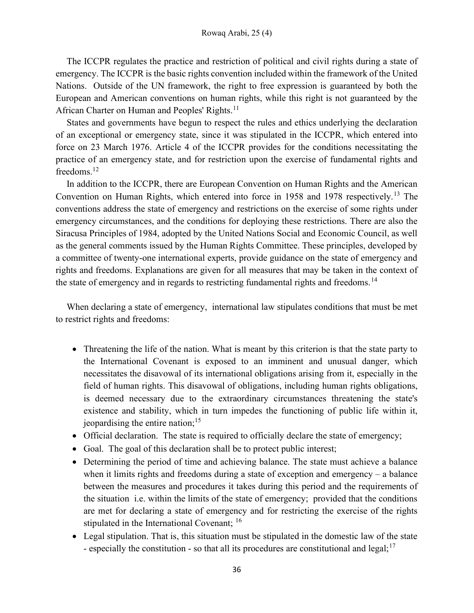The ICCPR regulates the practice and restriction of political and civil rights during a state of emergency. The ICCPR is the basic rights convention included within the framework of the United Nations. Outside of the UN framework, the right to free expression is guaranteed by both the European and American conventions on human rights, while this right is not guaranteed by the African Charter on Human and Peoples' Rights.<sup>11</sup>

States and governments have begun to respect the rules and ethics underlying the declaration of an exceptional or emergency state, since it was stipulated in the ICCPR, which entered into force on 23 March 1976. Article 4 of the ICCPR provides for the conditions necessitating the practice of an emergency state, and for restriction upon the exercise of fundamental rights and freedoms.<sup>12</sup>

In addition to the ICCPR, there are European Convention on Human Rights and the American Convention on Human Rights, which entered into force in 1958 and 1978 respectively.<sup>13</sup> The conventions address the state of emergency and restrictions on the exercise of some rights under emergency circumstances, and the conditions for deploying these restrictions. There are also the Siracusa Principles of 1984, adopted by the United Nations Social and Economic Council, as well as the general comments issued by the Human Rights Committee. These principles, developed by a committee of twenty-one international experts, provide guidance on the state of emergency and rights and freedoms. Explanations are given for all measures that may be taken in the context of the state of emergency and in regards to restricting fundamental rights and freedoms.<sup>14</sup>

When declaring a state of emergency, international law stipulates conditions that must be met to restrict rights and freedoms:

- Threatening the life of the nation. What is meant by this criterion is that the state party to the International Covenant is exposed to an imminent and unusual danger, which necessitates the disavowal of its international obligations arising from it, especially in the field of human rights. This disavowal of obligations, including human rights obligations, is deemed necessary due to the extraordinary circumstances threatening the state's existence and stability, which in turn impedes the functioning of public life within it, jeopardising the entire nation;  $15$
- Official declaration. The state is required to officially declare the state of emergency;
- Goal. The goal of this declaration shall be to protect public interest;
- Determining the period of time and achieving balance. The state must achieve a balance when it limits rights and freedoms during a state of exception and emergency – a balance between the measures and procedures it takes during this period and the requirements of the situation i.e. within the limits of the state of emergency; provided that the conditions are met for declaring a state of emergency and for restricting the exercise of the rights stipulated in the International Covenant; <sup>16</sup>
- Legal stipulation. That is, this situation must be stipulated in the domestic law of the state - especially the constitution - so that all its procedures are constitutional and legal;<sup>17</sup>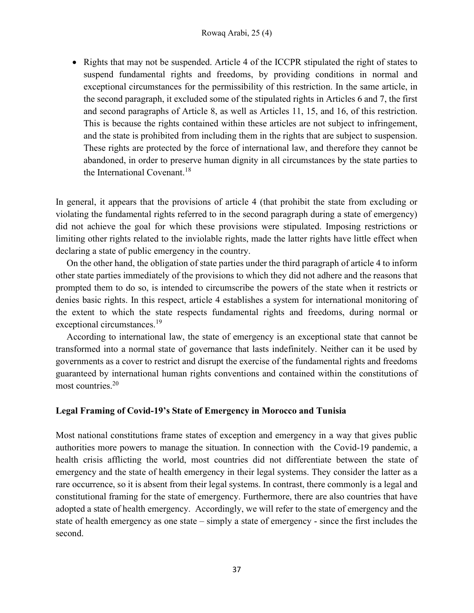• Rights that may not be suspended. Article 4 of the ICCPR stipulated the right of states to suspend fundamental rights and freedoms, by providing conditions in normal and exceptional circumstances for the permissibility of this restriction. In the same article, in the second paragraph, it excluded some of the stipulated rights in Articles 6 and 7, the first and second paragraphs of Article 8, as well as Articles 11, 15, and 16, of this restriction. This is because the rights contained within these articles are not subject to infringement, and the state is prohibited from including them in the rights that are subject to suspension. These rights are protected by the force of international law, and therefore they cannot be abandoned, in order to preserve human dignity in all circumstances by the state parties to the International Covenant.<sup>18</sup>

In general, it appears that the provisions of article 4 (that prohibit the state from excluding or violating the fundamental rights referred to in the second paragraph during a state of emergency) did not achieve the goal for which these provisions were stipulated. Imposing restrictions or limiting other rights related to the inviolable rights, made the latter rights have little effect when declaring a state of public emergency in the country.

On the other hand, the obligation of state parties under the third paragraph of article 4 to inform other state parties immediately of the provisions to which they did not adhere and the reasons that prompted them to do so, is intended to circumscribe the powers of the state when it restricts or denies basic rights. In this respect, article 4 establishes a system for international monitoring of the extent to which the state respects fundamental rights and freedoms, during normal or exceptional circumstances.<sup>19</sup>

According to international law, the state of emergency is an exceptional state that cannot be transformed into a normal state of governance that lasts indefinitely. Neither can it be used by governments as a cover to restrict and disrupt the exercise of the fundamental rights and freedoms guaranteed by international human rights conventions and contained within the constitutions of most countries.<sup>20</sup>

## Legal Framing of Covid-19's State of Emergency in Morocco and Tunisia

Most national constitutions frame states of exception and emergency in a way that gives public authorities more powers to manage the situation. In connection with the Covid-19 pandemic, a health crisis afflicting the world, most countries did not differentiate between the state of emergency and the state of health emergency in their legal systems. They consider the latter as a rare occurrence, so it is absent from their legal systems. In contrast, there commonly is a legal and constitutional framing for the state of emergency. Furthermore, there are also countries that have adopted a state of health emergency. Accordingly, we will refer to the state of emergency and the state of health emergency as one state – simply a state of emergency - since the first includes the second.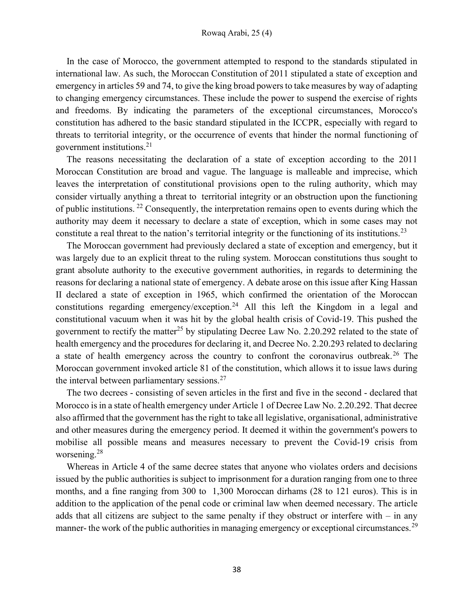In the case of Morocco, the government attempted to respond to the standards stipulated in international law. As such, the Moroccan Constitution of 2011 stipulated a state of exception and emergency in articles 59 and 74, to give the king broad powers to take measures by way of adapting to changing emergency circumstances. These include the power to suspend the exercise of rights and freedoms. By indicating the parameters of the exceptional circumstances, Morocco's constitution has adhered to the basic standard stipulated in the ICCPR, especially with regard to threats to territorial integrity, or the occurrence of events that hinder the normal functioning of government institutions.<sup>21</sup>

The reasons necessitating the declaration of a state of exception according to the 2011 Moroccan Constitution are broad and vague. The language is malleable and imprecise, which leaves the interpretation of constitutional provisions open to the ruling authority, which may consider virtually anything a threat to territorial integrity or an obstruction upon the functioning of public institutions.<sup>22</sup> Consequently, the interpretation remains open to events during which the authority may deem it necessary to declare a state of exception, which in some cases may not constitute a real threat to the nation's territorial integrity or the functioning of its institutions.<sup>23</sup>

The Moroccan government had previously declared a state of exception and emergency, but it was largely due to an explicit threat to the ruling system. Moroccan constitutions thus sought to grant absolute authority to the executive government authorities, in regards to determining the reasons for declaring a national state of emergency. A debate arose on this issue after King Hassan II declared a state of exception in 1965, which confirmed the orientation of the Moroccan constitutions regarding emergency/exception.<sup>24</sup> All this left the Kingdom in a legal and constitutional vacuum when it was hit by the global health crisis of Covid-19. This pushed the government to rectify the matter<sup>25</sup> by stipulating Decree Law No. 2.20.292 related to the state of health emergency and the procedures for declaring it, and Decree No. 2.20.293 related to declaring a state of health emergency across the country to confront the coronavirus outbreak.<sup>26</sup> The Moroccan government invoked article 81 of the constitution, which allows it to issue laws during the interval between parliamentary sessions. $27$ 

The two decrees - consisting of seven articles in the first and five in the second - declared that Morocco is in a state of health emergency under Article 1 of Decree Law No. 2.20.292. That decree also affirmed that the government has the right to take all legislative, organisational, administrative and other measures during the emergency period. It deemed it within the government's powers to mobilise all possible means and measures necessary to prevent the Covid-19 crisis from worsening.<sup>28</sup>

Whereas in Article 4 of the same decree states that anyone who violates orders and decisions issued by the public authorities is subject to imprisonment for a duration ranging from one to three months, and a fine ranging from 300 to 1,300 Moroccan dirhams (28 to 121 euros). This is in addition to the application of the penal code or criminal law when deemed necessary. The article adds that all citizens are subject to the same penalty if they obstruct or interfere with  $-$  in any manner- the work of the public authorities in managing emergency or exceptional circumstances.<sup>29</sup>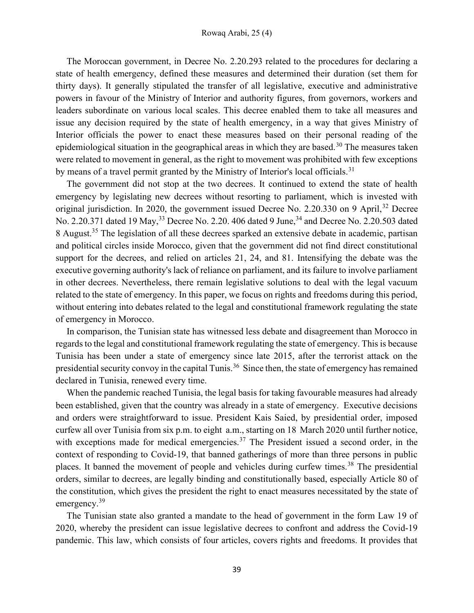The Moroccan government, in Decree No. 2.20.293 related to the procedures for declaring a state of health emergency, defined these measures and determined their duration (set them for thirty days). It generally stipulated the transfer of all legislative, executive and administrative powers in favour of the Ministry of Interior and authority figures, from governors, workers and leaders subordinate on various local scales. This decree enabled them to take all measures and issue any decision required by the state of health emergency, in a way that gives Ministry of Interior officials the power to enact these measures based on their personal reading of the epidemiological situation in the geographical areas in which they are based.<sup>30</sup> The measures taken were related to movement in general, as the right to movement was prohibited with few exceptions by means of a travel permit granted by the Ministry of Interior's local officials.<sup>31</sup>

The government did not stop at the two decrees. It continued to extend the state of health emergency by legislating new decrees without resorting to parliament, which is invested with original jurisdiction. In 2020, the government issued Decree No. 2.20.330 on 9 April,  $32$  Decree No. 2.20.371 dated 19 May,<sup>33</sup> Decree No. 2.20. 406 dated 9 June,<sup>34</sup> and Decree No. 2.20.503 dated 8 August.<sup>35</sup> The legislation of all these decrees sparked an extensive debate in academic, partisan and political circles inside Morocco, given that the government did not find direct constitutional support for the decrees, and relied on articles 21, 24, and 81. Intensifying the debate was the executive governing authority's lack of reliance on parliament, and its failure to involve parliament in other decrees. Nevertheless, there remain legislative solutions to deal with the legal vacuum related to the state of emergency. In this paper, we focus on rights and freedoms during this period, without entering into debates related to the legal and constitutional framework regulating the state of emergency in Morocco.

In comparison, the Tunisian state has witnessed less debate and disagreement than Morocco in regards to the legal and constitutional framework regulating the state of emergency. This is because Tunisia has been under a state of emergency since late 2015, after the terrorist attack on the presidential security convoy in the capital Tunis.<sup>36</sup> Since then, the state of emergency has remained declared in Tunisia, renewed every time.

When the pandemic reached Tunisia, the legal basis for taking favourable measures had already been established, given that the country was already in a state of emergency. Executive decisions and orders were straightforward to issue. President Kais Saied, by presidential order, imposed curfew all over Tunisia from six p.m. to eight a.m., starting on 18 March 2020 until further notice, with exceptions made for medical emergencies.<sup>37</sup> The President issued a second order, in the context of responding to Covid-19, that banned gatherings of more than three persons in public places. It banned the movement of people and vehicles during curfew times.<sup>38</sup> The presidential orders, similar to decrees, are legally binding and constitutionally based, especially Article 80 of the constitution, which gives the president the right to enact measures necessitated by the state of emergency.<sup>39</sup>

The Tunisian state also granted a mandate to the head of government in the form Law 19 of 2020, whereby the president can issue legislative decrees to confront and address the Covid-19 pandemic. This law, which consists of four articles, covers rights and freedoms. It provides that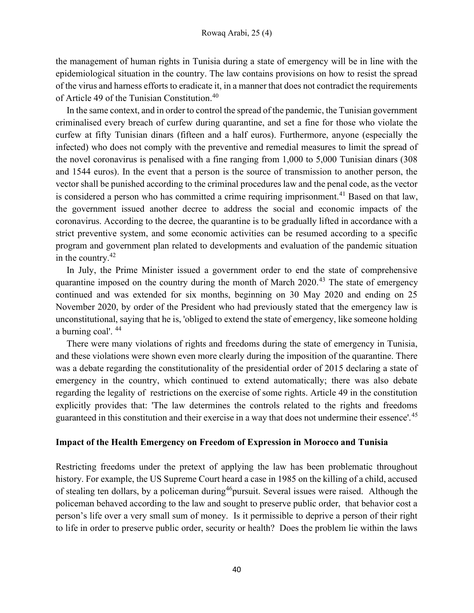the management of human rights in Tunisia during a state of emergency will be in line with the epidemiological situation in the country. The law contains provisions on how to resist the spread of the virus and harness efforts to eradicate it, in a manner that does not contradict the requirements of Article 49 of the Tunisian Constitution.<sup>40</sup>

In the same context, and in order to control the spread of the pandemic, the Tunisian government criminalised every breach of curfew during quarantine, and set a fine for those who violate the curfew at fifty Tunisian dinars (fifteen and a half euros). Furthermore, anyone (especially the infected) who does not comply with the preventive and remedial measures to limit the spread of the novel coronavirus is penalised with a fine ranging from 1,000 to 5,000 Tunisian dinars (308 and 1544 euros). In the event that a person is the source of transmission to another person, the vector shall be punished according to the criminal procedures law and the penal code, as the vector is considered a person who has committed a crime requiring imprisonment.<sup>41</sup> Based on that law, the government issued another decree to address the social and economic impacts of the coronavirus. According to the decree, the quarantine is to be gradually lifted in accordance with a strict preventive system, and some economic activities can be resumed according to a specific program and government plan related to developments and evaluation of the pandemic situation in the country.<sup>42</sup>

In July, the Prime Minister issued a government order to end the state of comprehensive quarantine imposed on the country during the month of March  $2020<sup>43</sup>$  The state of emergency continued and was extended for six months, beginning on 30 May 2020 and ending on 25 November 2020, by order of the President who had previously stated that the emergency law is unconstitutional, saying that he is, 'obliged to extend the state of emergency, like someone holding a burning coal'. <sup>44</sup>

There were many violations of rights and freedoms during the state of emergency in Tunisia, and these violations were shown even more clearly during the imposition of the quarantine. There was a debate regarding the constitutionality of the presidential order of 2015 declaring a state of emergency in the country, which continued to extend automatically; there was also debate regarding the legality of restrictions on the exercise of some rights. Article 49 in the constitution explicitly provides that: 'The law determines the controls related to the rights and freedoms guaranteed in this constitution and their exercise in a way that does not undermine their essence'.<sup>45</sup>

## Impact of the Health Emergency on Freedom of Expression in Morocco and Tunisia

Restricting freedoms under the pretext of applying the law has been problematic throughout history. For example, the US Supreme Court heard a case in 1985 on the killing of a child, accused of stealing ten dollars, by a policeman during<sup>46</sup>pursuit. Several issues were raised. Although the policeman behaved according to the law and sought to preserve public order, that behavior cost a person's life over a very small sum of money. Is it permissible to deprive a person of their right to life in order to preserve public order, security or health? Does the problem lie within the laws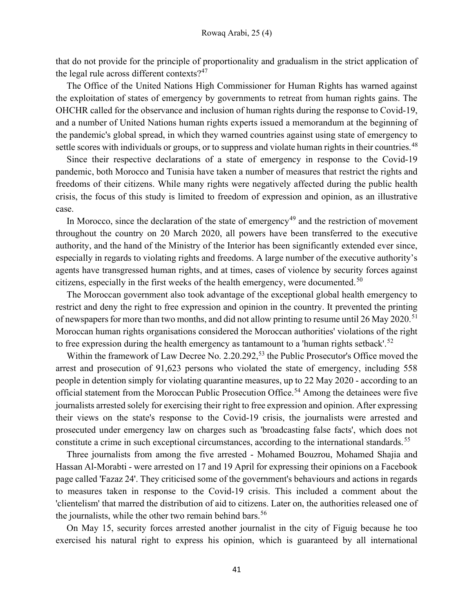that do not provide for the principle of proportionality and gradualism in the strict application of the legal rule across different contexts? $47$ 

The Office of the United Nations High Commissioner for Human Rights has warned against the exploitation of states of emergency by governments to retreat from human rights gains. The OHCHR called for the observance and inclusion of human rights during the response to Covid-19, and a number of United Nations human rights experts issued a memorandum at the beginning of the pandemic's global spread, in which they warned countries against using state of emergency to settle scores with individuals or groups, or to suppress and violate human rights in their countries.<sup>48</sup>

Since their respective declarations of a state of emergency in response to the Covid-19 pandemic, both Morocco and Tunisia have taken a number of measures that restrict the rights and freedoms of their citizens. While many rights were negatively affected during the public health crisis, the focus of this study is limited to freedom of expression and opinion, as an illustrative case.

In Morocco, since the declaration of the state of emergency<sup>49</sup> and the restriction of movement throughout the country on 20 March 2020, all powers have been transferred to the executive authority, and the hand of the Ministry of the Interior has been significantly extended ever since, especially in regards to violating rights and freedoms. A large number of the executive authority's agents have transgressed human rights, and at times, cases of violence by security forces against citizens, especially in the first weeks of the health emergency, were documented.<sup>50</sup>

The Moroccan government also took advantage of the exceptional global health emergency to restrict and deny the right to free expression and opinion in the country. It prevented the printing of newspapers for more than two months, and did not allow printing to resume until 26 May 2020.<sup>51</sup> Moroccan human rights organisations considered the Moroccan authorities' violations of the right to free expression during the health emergency as tantamount to a 'human rights setback'.<sup>52</sup>

Within the framework of Law Decree No. 2.20.292,<sup>53</sup> the Public Prosecutor's Office moved the arrest and prosecution of 91,623 persons who violated the state of emergency, including 558 people in detention simply for violating quarantine measures, up to 22 May 2020 - according to an official statement from the Moroccan Public Prosecution Office.<sup>54</sup> Among the detainees were five journalists arrested solely for exercising their right to free expression and opinion. After expressing their views on the state's response to the Covid-19 crisis, the journalists were arrested and prosecuted under emergency law on charges such as 'broadcasting false facts', which does not constitute a crime in such exceptional circumstances, according to the international standards.<sup>55</sup>

Three journalists from among the five arrested - Mohamed Bouzrou, Mohamed Shajia and Hassan Al-Morabti - were arrested on 17 and 19 April for expressing their opinions on a Facebook page called 'Fazaz 24'. They criticised some of the government's behaviours and actions in regards to measures taken in response to the Covid-19 crisis. This included a comment about the 'clientelism' that marred the distribution of aid to citizens. Later on, the authorities released one of the journalists, while the other two remain behind bars.<sup>56</sup>

On May 15, security forces arrested another journalist in the city of Figuig because he too exercised his natural right to express his opinion, which is guaranteed by all international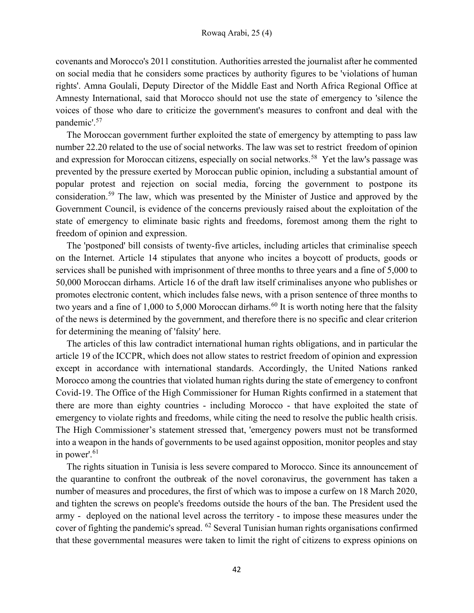covenants and Morocco's 2011 constitution. Authorities arrested the journalist after he commented on social media that he considers some practices by authority figures to be 'violations of human rights'. Amna Goulali, Deputy Director of the Middle East and North Africa Regional Office at Amnesty International, said that Morocco should not use the state of emergency to 'silence the voices of those who dare to criticize the government's measures to confront and deal with the pandemic'.<sup>57</sup>

The Moroccan government further exploited the state of emergency by attempting to pass law number 22.20 related to the use of social networks. The law was set to restrict freedom of opinion and expression for Moroccan citizens, especially on social networks.<sup>58</sup> Yet the law's passage was prevented by the pressure exerted by Moroccan public opinion, including a substantial amount of popular protest and rejection on social media, forcing the government to postpone its consideration.<sup>59</sup> The law, which was presented by the Minister of Justice and approved by the Government Council, is evidence of the concerns previously raised about the exploitation of the state of emergency to eliminate basic rights and freedoms, foremost among them the right to freedom of opinion and expression.

The 'postponed' bill consists of twenty-five articles, including articles that criminalise speech on the Internet. Article 14 stipulates that anyone who incites a boycott of products, goods or services shall be punished with imprisonment of three months to three years and a fine of 5,000 to 50,000 Moroccan dirhams. Article 16 of the draft law itself criminalises anyone who publishes or promotes electronic content, which includes false news, with a prison sentence of three months to two years and a fine of 1,000 to 5,000 Moroccan dirhams.<sup>60</sup> It is worth noting here that the falsity of the news is determined by the government, and therefore there is no specific and clear criterion for determining the meaning of 'falsity' here.

The articles of this law contradict international human rights obligations, and in particular the article 19 of the ICCPR, which does not allow states to restrict freedom of opinion and expression except in accordance with international standards. Accordingly, the United Nations ranked Morocco among the countries that violated human rights during the state of emergency to confront Covid-19. The Office of the High Commissioner for Human Rights confirmed in a statement that there are more than eighty countries - including Morocco - that have exploited the state of emergency to violate rights and freedoms, while citing the need to resolve the public health crisis. The High Commissioner's statement stressed that, 'emergency powers must not be transformed into a weapon in the hands of governments to be used against opposition, monitor peoples and stay in power'.<sup>61</sup>

The rights situation in Tunisia is less severe compared to Morocco. Since its announcement of the quarantine to confront the outbreak of the novel coronavirus, the government has taken a number of measures and procedures, the first of which was to impose a curfew on 18 March 2020, and tighten the screws on people's freedoms outside the hours of the ban. The President used the army - deployed on the national level across the territory - to impose these measures under the cover of fighting the pandemic's spread. <sup>62</sup> Several Tunisian human rights organisations confirmed that these governmental measures were taken to limit the right of citizens to express opinions on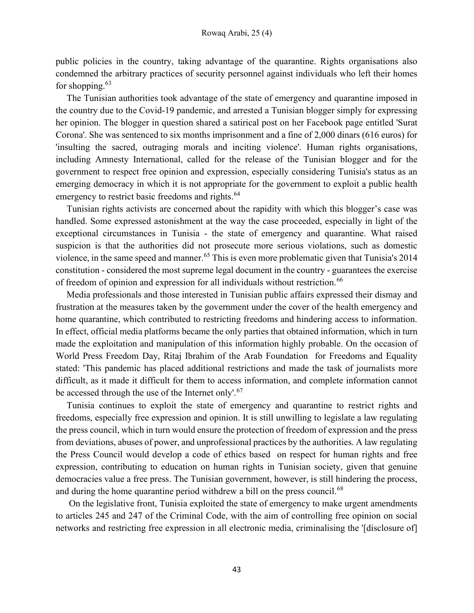public policies in the country, taking advantage of the quarantine. Rights organisations also condemned the arbitrary practices of security personnel against individuals who left their homes for shopping. $63$ 

The Tunisian authorities took advantage of the state of emergency and quarantine imposed in the country due to the Covid-19 pandemic, and arrested a Tunisian blogger simply for expressing her opinion. The blogger in question shared a satirical post on her Facebook page entitled 'Surat Corona'. She was sentenced to six months imprisonment and a fine of 2,000 dinars (616 euros) for 'insulting the sacred, outraging morals and inciting violence'. Human rights organisations, including Amnesty International, called for the release of the Tunisian blogger and for the government to respect free opinion and expression, especially considering Tunisia's status as an emerging democracy in which it is not appropriate for the government to exploit a public health emergency to restrict basic freedoms and rights.<sup>64</sup>

Tunisian rights activists are concerned about the rapidity with which this blogger's case was handled. Some expressed astonishment at the way the case proceeded, especially in light of the exceptional circumstances in Tunisia - the state of emergency and quarantine. What raised suspicion is that the authorities did not prosecute more serious violations, such as domestic violence, in the same speed and manner.<sup>65</sup> This is even more problematic given that Tunisia's 2014 constitution - considered the most supreme legal document in the country - guarantees the exercise of freedom of opinion and expression for all individuals without restriction.<sup>66</sup>

Media professionals and those interested in Tunisian public affairs expressed their dismay and frustration at the measures taken by the government under the cover of the health emergency and home quarantine, which contributed to restricting freedoms and hindering access to information. In effect, official media platforms became the only parties that obtained information, which in turn made the exploitation and manipulation of this information highly probable. On the occasion of World Press Freedom Day, Ritaj Ibrahim of the Arab Foundation for Freedoms and Equality stated: 'This pandemic has placed additional restrictions and made the task of journalists more difficult, as it made it difficult for them to access information, and complete information cannot be accessed through the use of the Internet only'.<sup>67</sup>

Tunisia continues to exploit the state of emergency and quarantine to restrict rights and freedoms, especially free expression and opinion. It is still unwilling to legislate a law regulating the press council, which in turn would ensure the protection of freedom of expression and the press from deviations, abuses of power, and unprofessional practices by the authorities. A law regulating the Press Council would develop a code of ethics based on respect for human rights and free expression, contributing to education on human rights in Tunisian society, given that genuine democracies value a free press. The Tunisian government, however, is still hindering the process, and during the home quarantine period withdrew a bill on the press council.<sup>68</sup>

 On the legislative front, Tunisia exploited the state of emergency to make urgent amendments to articles 245 and 247 of the Criminal Code, with the aim of controlling free opinion on social networks and restricting free expression in all electronic media, criminalising the '[disclosure of]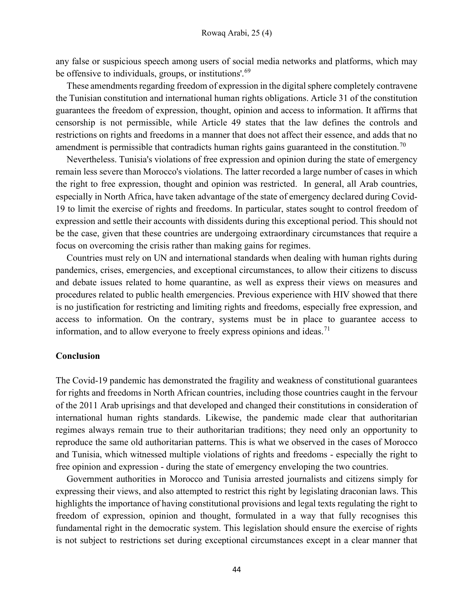any false or suspicious speech among users of social media networks and platforms, which may be offensive to individuals, groups, or institutions'.<sup>69</sup>

These amendments regarding freedom of expression in the digital sphere completely contravene the Tunisian constitution and international human rights obligations. Article 31 of the constitution guarantees the freedom of expression, thought, opinion and access to information. It affirms that censorship is not permissible, while Article 49 states that the law defines the controls and restrictions on rights and freedoms in a manner that does not affect their essence, and adds that no amendment is permissible that contradicts human rights gains guaranteed in the constitution.<sup>70</sup>

Nevertheless. Tunisia's violations of free expression and opinion during the state of emergency remain less severe than Morocco's violations. The latter recorded a large number of cases in which the right to free expression, thought and opinion was restricted. In general, all Arab countries, especially in North Africa, have taken advantage of the state of emergency declared during Covid-19 to limit the exercise of rights and freedoms. In particular, states sought to control freedom of expression and settle their accounts with dissidents during this exceptional period. This should not be the case, given that these countries are undergoing extraordinary circumstances that require a focus on overcoming the crisis rather than making gains for regimes.

Countries must rely on UN and international standards when dealing with human rights during pandemics, crises, emergencies, and exceptional circumstances, to allow their citizens to discuss and debate issues related to home quarantine, as well as express their views on measures and procedures related to public health emergencies. Previous experience with HIV showed that there is no justification for restricting and limiting rights and freedoms, especially free expression, and access to information. On the contrary, systems must be in place to guarantee access to information, and to allow everyone to freely express opinions and ideas.<sup>71</sup>

## Conclusion

The Covid-19 pandemic has demonstrated the fragility and weakness of constitutional guarantees for rights and freedoms in North African countries, including those countries caught in the fervour of the 2011 Arab uprisings and that developed and changed their constitutions in consideration of international human rights standards. Likewise, the pandemic made clear that authoritarian regimes always remain true to their authoritarian traditions; they need only an opportunity to reproduce the same old authoritarian patterns. This is what we observed in the cases of Morocco and Tunisia, which witnessed multiple violations of rights and freedoms - especially the right to free opinion and expression - during the state of emergency enveloping the two countries.

Government authorities in Morocco and Tunisia arrested journalists and citizens simply for expressing their views, and also attempted to restrict this right by legislating draconian laws. This highlights the importance of having constitutional provisions and legal texts regulating the right to freedom of expression, opinion and thought, formulated in a way that fully recognises this fundamental right in the democratic system. This legislation should ensure the exercise of rights is not subject to restrictions set during exceptional circumstances except in a clear manner that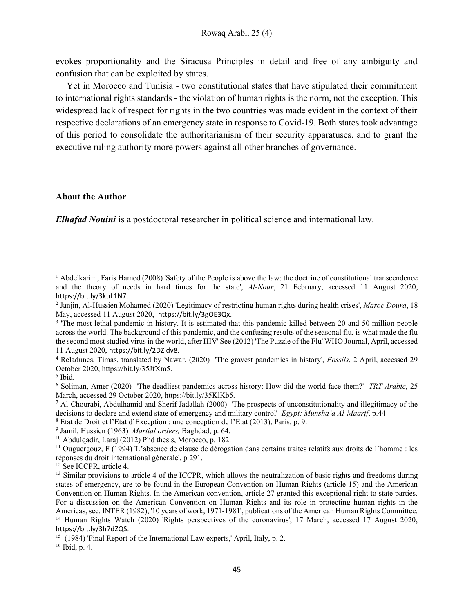evokes proportionality and the Siracusa Principles in detail and free of any ambiguity and confusion that can be exploited by states.

Yet in Morocco and Tunisia - two constitutional states that have stipulated their commitment to international rights standards - the violation of human rights is the norm, not the exception. This widespread lack of respect for rights in the two countries was made evident in the context of their respective declarations of an emergency state in response to Covid-19. Both states took advantage of this period to consolidate the authoritarianism of their security apparatuses, and to grant the executive ruling authority more powers against all other branches of governance.

## About the Author

Elhafad Nouini is a postdoctoral researcher in political science and international law.

<sup>&</sup>lt;sup>1</sup> Abdelkarim, Faris Hamed (2008) 'Safety of the People is above the law: the doctrine of constitutional transcendence and the theory of needs in hard times for the state', Al-Nour, 21 February, accessed 11 August 2020, https://bit.ly/3kuL1N7.

<sup>&</sup>lt;sup>2</sup> Janjin, Al-Hussien Mohamed (2020) 'Legitimacy of restricting human rights during health crises', Maroc Doura, 18 May, accessed 11 August 2020, https://bit.ly/3gOE3Qx.

<sup>&</sup>lt;sup>3</sup> The most lethal pandemic in history. It is estimated that this pandemic killed between 20 and 50 million people across the world. The background of this pandemic, and the confusing results of the seasonal flu, is what made the flu the second most studied virus in the world, after HIV' See (2012) 'The Puzzle of the Flu' WHO Journal, April, accessed 11 August 2020, https://bit.ly/2DZidv8.

<sup>&</sup>lt;sup>4</sup> Reladunes, Timas, translated by Nawar, (2020) 'The gravest pandemics in history', Fossils, 2 April, accessed 29 October 2020, https://bit.ly/35JfXm5.

<sup>5</sup> Ibid.

<sup>&</sup>lt;sup>6</sup> Soliman, Amer (2020) 'The deadliest pandemics across history: How did the world face them?' TRT Arabic, 25 March, accessed 29 October 2020, https://bit.ly/35KlKb5.

<sup>7</sup> Al-Chourabi, Abdulhamid and Sherif Jadallah (2000) 'The prospects of unconstitutionality and illegitimacy of the decisions to declare and extend state of emergency and military control' Egypt: Munsha'a Al-Maarif, p.44

<sup>8</sup> Etat de Droit et l'Etat d'Exception : une conception de l'Etat (2013), Paris, p. 9.

<sup>&</sup>lt;sup>9</sup> Jamil, Hussien (1963) Martial orders, Baghdad, p. 64.

<sup>10</sup> Abdulqadir, Laraj (2012) Phd thesis, Morocco, p. 182.

 $11$  Ouguergouz, F (1994) 'L'absence de clause de dérogation dans certains traités relatifs aux droits de l'homme : les réponses du droit international générale', p 291.

<sup>&</sup>lt;sup>12</sup> See ICCPR, article 4.

 $<sup>13</sup>$  Similar provisions to article 4 of the ICCPR, which allows the neutralization of basic rights and freedoms during</sup> states of emergency, are to be found in the European Convention on Human Rights (article 15) and the American Convention on Human Rights. In the American convention, article 27 granted this exceptional right to state parties. For a discussion on the American Convention on Human Rights and its role in protecting human rights in the Americas, see. INTER (1982), '10 years of work, 1971-1981', publications of the American Human Rights Committee. <sup>14</sup> Human Rights Watch (2020) 'Rights perspectives of the coronavirus', 17 March, accessed 17 August 2020, https://bit.ly/3h7dZQS.

<sup>&</sup>lt;sup>15</sup> (1984) 'Final Report of the International Law experts,' April, Italy, p. 2.

<sup>16</sup> Ibid, p. 4.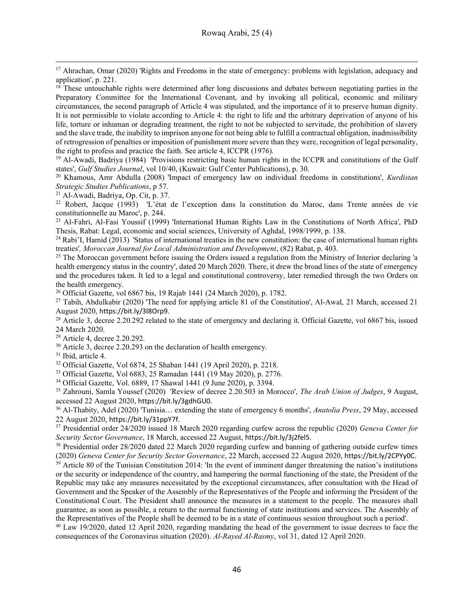<sup>17</sup> Ahrachan, Omar (2020) 'Rights and Freedoms in the state of emergency: problems with legislation, adequacy and application', p. 221.

<sup>18</sup> These untouchable rights were determined after long discussions and debates between negotiating parties in the Preparatory Committee for the International Covenant, and by invoking all political, economic and military circumstances, the second paragraph of Article 4 was stipulated, and the importance of it to preserve human dignity. It is not permissible to violate according to Article 4: the right to life and the arbitrary deprivation of anyone of his life, torture or inhuman or degrading treatment, the right to not be subjected to servitude, the prohibition of slavery and the slave trade, the inability to imprison anyone for not being able to fulfill a contractual obligation, inadmissibility of retrogression of penalties or imposition of punishment more severe than they were, recognition of legal personality, the right to profess and practice the faith. See article 4, ICCPR (1976).

<sup>19</sup> Al-Awadi, Badriya (1984) 'Provisions restricting basic human rights in the ICCPR and constitutions of the Gulf states', Gulf Studies Journal, vol 10/40, (Kuwait: Gulf Center Publications), p. 30.

<sup>20</sup> Khamous, Amr Abdulla (2008) 'Impact of emergency law on individual freedoms in constitutions', *Kurdistan* Strategic Studies Publications, p 57.

<sup>21</sup> Al-Awadi, Badriya, Op. Cit, p. 37.

<sup>22</sup> Robert, Jacque (1993) 'L'état de l'exception dans la constitution du Maroc, dans Trente années de vie constitutionnelle au Maroc', p. 244.

<sup>23</sup> Al-Fahri, Al-Fasi Youssif (1999) 'International Human Rights Law in the Constitutions of North Africa', PhD Thesis, Rabat: Legal, economic and social sciences, University of Aghdal, 1998/1999, p. 138.

 $24$  Rabi'I, Hamid (2013) 'Status of international treaties in the new constitution: the case of international human rights treaties', Moroccan Journal for Local Administration and Development, (82) Rabat, p. 403.

 $25$  The Moroccan government before issuing the Orders issued a regulation from the Ministry of Interior declaring 'a health emergency status in the country', dated 20 March 2020. There, it drew the broad lines of the state of emergency and the procedures taken. It led to a legal and constitutional controversy, later remedied through the two Orders on the health emergency.

<sup>26</sup> Official Gazette, vol 6867 bis, 19 Rajab 1441 (24 March 2020), p. 1782.

 $27$  Tabih, Abdulkabir (2020) 'The need for applying article 81 of the Constitution', Al-Awal, 21 March, accessed 21 August 2020, https://bit.ly/3l8Orp9.

<sup>28</sup> Article 3, decree 2.20.292 related to the state of emergency and declaring it. Official Gazette, vol 6867 bis, issued 24 March 2020.

<sup>29</sup> Article 4, decree 2.20.292.

<sup>30</sup> Article 3, decree 2.20.293 on the declaration of health emergency.

<sup>31</sup> Ibid, article 4.

<sup>32</sup> Official Gazette, Vol 6874, 25 Shaban 1441 (19 April 2020), p. 2218.

<sup>33</sup> Official Gazette, Vol 6883, 25 Ramadan 1441 (19 May 2020), p. 2776.

<sup>34</sup> Official Gazette, Vol. 6889, 17 Shawal 1441 (9 June 2020), p. 3394.

<sup>35</sup> Zahrouni, Samla Youssef (2020) 'Review of decree 2.20.503 in Morocco', The Arab Union of Judges, 9 August, accessed 22 August 2020, https://bit.ly/3gdhGU0.

<sup>36</sup> Al-Thabity, Adel (2020) 'Tunisia... extending the state of emergency 6 months', *Anatolia Press*, 29 May, accessed 22 August 2020, https://bit.ly/31ppY7f.

<sup>37</sup> Presidential order 24/2020 issued 18 March 2020 regarding curfew across the republic (2020) Geneva Center for Security Sector Governance, 18 March, accessed 22 August, https://bit.ly/3j2fel5.

<sup>38</sup> Presidential order 28/2020 dated 22 March 2020 regarding curfew and banning of gathering outside curfew times (2020) Geneva Center for Security Sector Governance, 22 March, accessed 22 August 2020, https://bit.ly/2CPYy0C.

 $39$  Article 80 of the Tunisian Constitution 2014: 'In the event of imminent danger threatening the nation's institutions or the security or independence of the country, and hampering the normal functioning of the state, the President of the Republic may take any measures necessitated by the exceptional circumstances, after consultation with the Head of Government and the Speaker of the Assembly of the Representatives of the People and informing the President of the Constitutional Court. The President shall announce the measures in a statement to the people. The measures shall guarantee, as soon as possible, a return to the normal functioning of state institutions and services. The Assembly of the Representatives of the People shall be deemed to be in a state of continuous session throughout such a period'.

<sup>40</sup> Law 19/2020, dated 12 April 2020, regarding mandating the head of the government to issue decrees to face the consequences of the Coronavirus situation (2020). Al-Rayed Al-Rasmy, vol 31, dated 12 April 2020.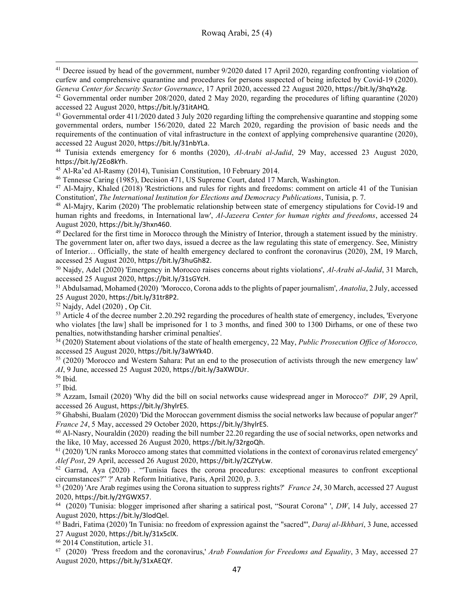<sup>41</sup> Decree issued by head of the government, number 9/2020 dated 17 April 2020, regarding confronting violation of curfew and comprehensive quarantine and procedures for persons suspected of being infected by Covid-19 (2020). Geneva Center for Security Sector Governance, 17 April 2020, accessed 22 August 2020, https://bit.ly/3hqYx2g.

<sup>43</sup> Governmental order 411/2020 dated 3 July 2020 regarding lifting the comprehensive quarantine and stopping some governmental orders, number 156/2020, dated 22 March 2020, regarding the provision of basic needs and the requirements of the continuation of vital infrastructure in the context of applying comprehensive quarantine (2020), accessed 22 August 2020, https://bit.ly/31nbYLa.

<sup>44</sup> Tunisia extends emergency for 6 months (2020), Al-Arabi al-Jadid, 29 May, accessed 23 August 2020, https://bit.ly/2Eo8kYh.

<sup>45</sup> Al-Ra'ed Al-Rasmy (2014), Tunisian Constitution, 10 February 2014.

<sup>46</sup> Tennesse Caring (1985), Decision 471, US Supreme Court, dated 17 March, Washington.

<sup>47</sup> Al-Majry, Khaled (2018) 'Restrictions and rules for rights and freedoms: comment on article 41 of the Tunisian Constitution', The International Institution for Elections and Democracy Publications, Tunisia, p. 7.

<sup>48</sup> Al-Majry, Karim (2020) 'The problematic relationship between state of emergency stipulations for Covid-19 and human rights and freedoms, in International law', Al-Jazeera Center for human rights and freedoms, accessed 24 August 2020, https://bit.ly/3hxn460.

<sup>49</sup> Declared for the first time in Morocco through the Ministry of Interior, through a statement issued by the ministry. The government later on, after two days, issued a decree as the law regulating this state of emergency. See, Ministry of Interior… Officially, the state of health emergency declared to confront the coronavirus (2020), 2M, 19 March, accessed 25 August 2020, https://bit.ly/3huGh82.

<sup>50</sup> Najdy, Adel (2020) 'Emergency in Morocco raises concerns about rights violations', *Al-Arabi al-Jadid*, 31 March, accessed 25 August 2020, https://bit.ly/31sGYcH.

<sup>51</sup> Abdulsamad, Mohamed (2020) 'Morocco, Corona adds to the plights of paper journalism', Anatolia, 2 July, accessed 25 August 2020, https://bit.ly/31tr8P2.

 $52$  Najdy, Adel (2020), Op Cit.

<sup>53</sup> Article 4 of the decree number 2.20.292 regarding the procedures of health state of emergency, includes, 'Everyone who violates [the law] shall be imprisoned for 1 to 3 months, and fined 300 to 1300 Dirhams, or one of these two penalties, notwithstanding harsher criminal penalties'.

 $\frac{54}{2}$  (2020) Statement about violations of the state of health emergency, 22 May, *Public Prosecution Office of Morocco*, accessed 25 August 2020, https://bit.ly/3aWYk4D.

<sup>55</sup> (2020) 'Morocco and Western Sahara: Put an end to the prosecution of activists through the new emergency law' AI, 9 June, accessed 25 August 2020, https://bit.ly/3aXWDUr.

<sup>56</sup> Ibid.

<sup>57</sup> Ibid.

<sup>58</sup> Azzam, Ismail (2020) 'Why did the bill on social networks cause widespread anger in Morocco?' *DW*, 29 April, accessed 26 August, https://bit.ly/3hylrES.

 $59$  Ghabshi, Bualam (2020) 'Did the Moroccan government dismiss the social networks law because of popular anger?' France 24, 5 May, accessed 29 October 2020, https://bit.ly/3hylrES.

<sup>60</sup> Al-Nasry, Nouraldin (2020) reading the bill number 22.20 regarding the use of social networks, open networks and the like, 10 May, accessed 26 August 2020, https://bit.ly/32rgoQh.

 $<sup>61</sup>$  (2020) 'UN ranks Morocco among states that committed violations in the context of coronavirus related emergency'</sup> Alef Post, 29 April, accessed 26 August 2020, https://bit.ly/2CZYyLw.

 $62$  Garrad, Aya (2020). "Tunisia faces the corona procedures: exceptional measures to confront exceptional circumstances?" ?' Arab Reform Initiative, Paris, April 2020, p. 3.

 $^{63}$  (2020) 'Are Arab regimes using the Corona situation to suppress rights?' France 24, 30 March, accessed 27 August 2020, https://bit.ly/2YGWX57.

 $64$  (2020) 'Tunisia: blogger imprisoned after sharing a satirical post, "Sourat Corona" ', DW, 14 July, accessed 27 August 2020, https://bit.ly/3lodQel.

 $^{65}$  Badri, Fatima (2020) 'In Tunisia: no freedom of expression against the "sacred"', *Daraj al-Ikhbari*, 3 June, accessed 27 August 2020, https://bit.ly/31x5clX.

<sup>66</sup> 2014 Constitution, article 31.

 $67$  (2020) 'Press freedom and the coronavirus,' Arab Foundation for Freedoms and Equality, 3 May, accessed 27 August 2020, https://bit.ly/31xAEQY.

<sup>42</sup> Governmental order number 208/2020, dated 2 May 2020, regarding the procedures of lifting quarantine (2020) accessed 22 August 2020, https://bit.ly/31itAHQ.